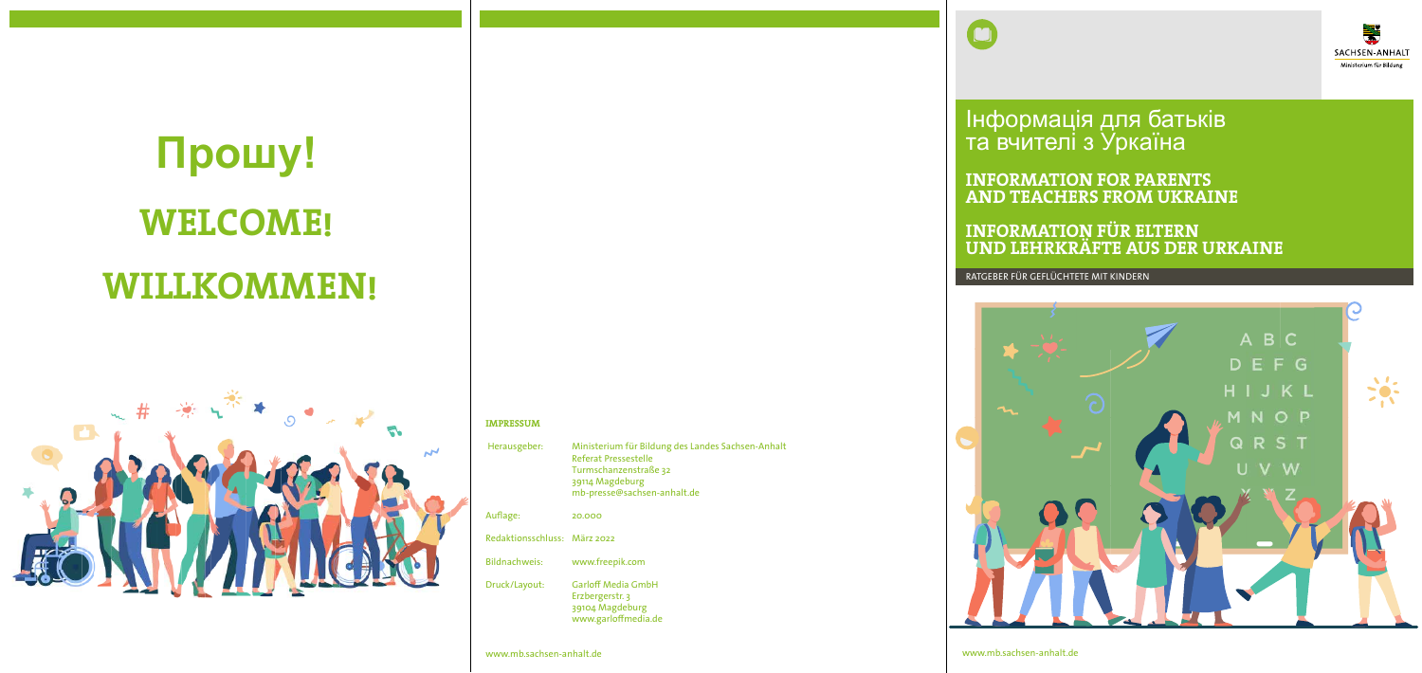RATGEBER FÜR GEFLÜCHTETE MIT KINDERN



es Sachsen-Anhalt

**INFORMATION FÜR ELTERN UND LEHRKRÄFTE AUS DER URKAINE**

www.mb.sachsen-anhalt.de

Інформація для батьків та вчителі з Уркаїна

**INFORMATION FOR PARENTS AND TEACHERS FROM UKRAINE**

# **WILLKOMMEN! Прошу! WELCOME!**



#### **IMPRESSUM**

| Herausgeber:                 | Ministerium für Bildung des Lande<br>Referat Pressestelle<br>Turmschanzenstraße 32<br>39114 Magdeburg<br>mb-presse@sachsen-anhalt.de |
|------------------------------|--------------------------------------------------------------------------------------------------------------------------------------|
| Auflage:                     | 20.000                                                                                                                               |
| Redaktionsschluss: März 2022 |                                                                                                                                      |
| <b>Bildnachweis:</b>         | www.freepik.com                                                                                                                      |
| Druck/Layout:                | <b>Garloff Media GmbH</b><br>Erzbergerstr. 3<br>39104 Magdeburg<br>www.garloffmedia.de                                               |

www.mb.sachsen-anhalt.de